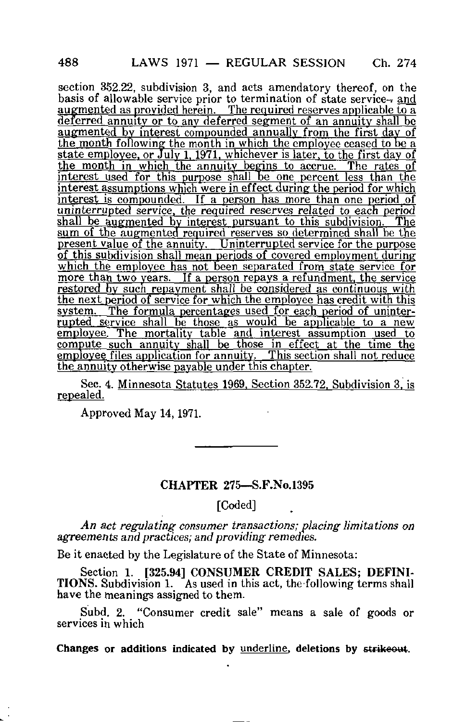section 352.22, subdivision 3, and acts amendatory thereof, on the basis of allowable service prior to termination of state service-and augmented as provided herein. The required reserves applicable to a deferred annuity or to any deferred segment of an annuity shall be augmented by interest compounded annually from the first day of the month following the month in which the employee ceased to be a state employee, or July 1, 1971. whichever is later, to the first day of the month in which the annuity begins to accrue. The rates of interest used for this purpose shall be one percent less than the  $\frac{1}{2}$  interest assumptions which were in effect during the period for which interest is compounded. If a person has more than one period of uninterrupted service, the required reserves related to each period shall be augmented by interest pursuant to this subdivision. The shall be augmented by interest pursuant to this subdivision. sum of the augmented required reserves so determined shall be the present value of the annuity. Uninterrupted service for the purpose of this subdivision shall mean periods of covered employment during which the employee has not been separated from state service for more than two years. If a person repays a refundment, the service restored by such repayment shall be considered as continuous with the next period of service for which the employee has credit with this system. The formula percentages used for each period of uninterrupted service shall be those as would be applicable to a new employee. The mortality table and interest assumption used to compute such annuity shall be those in effect at the time the employee files application for annuity. This section shall not reduce the annuity otherwise payable under this chapter.

Sec. 4. Minnesota Statutes 1969. Section 352.72. Subdivision 3. is repealed.

Approved May 14,1971.

## CHAPTER 275—S.F.No.1395

[Coded]

An act regulating consumer transactions; placing limitations on agreements and practices; and providing remedies.

Be it enacted by the Legislature of the State of Minnesota:

Section 1. [325.94] CONSUMER CREDIT SALES; DEFINI-TIONS. Subdivision 1. As used in this act, the following terms shall have the meanings assigned to them.

Subd. 2. "Consumer credit sale" means a sale of goods or services in which

Changes or additions indicated by underline, deletions by strikeout.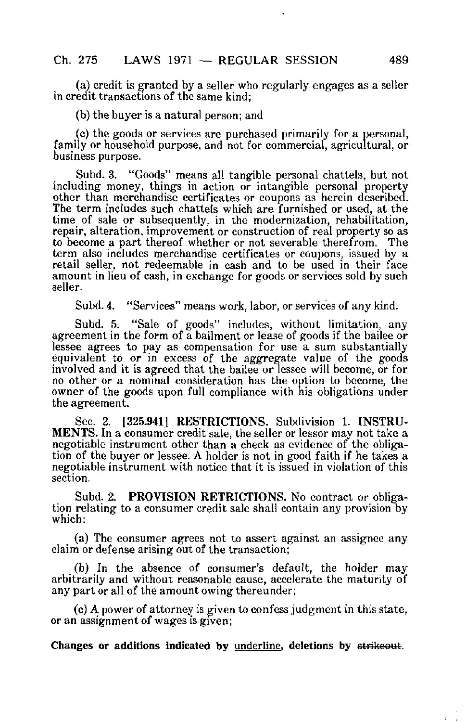(a) credit is granted by a seller who regularly engages as a seller in credit transactions of the same kind;

(b) the buyer is a natural person; and

(c) the goods or services are purchased primarily for a personal, family or household purpose, and not for commercial, agricultural, or business purpose.

Subd. 3. "Goods" means all tangible personal chattels, but not including money, things in action or intangible personal property other than merchandise certificates or coupons as herein described. The term includes such chattels which are furnished or used, at the time of sale or subsequently, in the modernization, rehabilitation, repair, alteration, improvement or construction of real property so as to become a part thereof whether or not severable therefrom. The term also includes merchandise certificates or coupons, issued by a retail seller, not redeemable in cash and to be used in their face amount in lieu of cash, in exchange for goods or services sold by such seller.

Subd. 4. "Services" means work, labor, or services of any kind.

Subd. 5. "Sale of goods" includes, without limitation, any agreement in the form of a bailment or lease of goods if the bailee or lessee agrees to pay as compensation for use a sum substantially equivalent to or in excess of the aggregate value of the goods involved and it is agreed that the bailee or lessee will become, or for no other or a nominal consideration has the option to become, the owner of the goods upon full compliance with his obligations under the agreement.

Sec. 2. [325.941] RESTRICTIONS. Subdivision 1. INSTRU-MENTS. In a consumer credit sale, the seller or lessor may not take a negotiable instrument other than a check as evidence of the obligation of the buyer or lessee. A holder is not in good faith if he takes a negotiable instrument with notice that it is issued in violation of this section.

Subd. 2. PROVISION RETRICTIONS. No contract or obligation relating to a consumer credit sale shall contain any provision by which:

(a) The consumer agrees not to assert against an assignee any claim or defense arising out of the transaction;

(b) In the absence of consumer's default, the holder may arbitrarily and without reasonable cause, accelerate the maturity of any part or all of the amount owing thereunder;

(c) A power of attorney is given to confess judgment in this state, or an assignment of wages is given;

Changes or additions indicated by underline, deletions by strikeout.